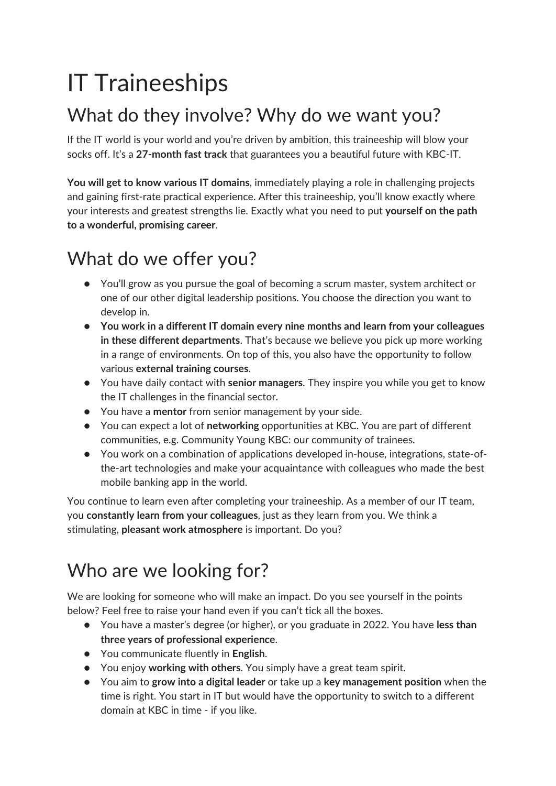# IT Traineeships

# What do they involve? Why do we want you?

If the IT world is your world and you're driven by ambition, this traineeship will blow your socks off. It's a **27-month fast track** that guarantees you a beautiful future with KBC-IT.

**You will get to know various IT domains**, immediately playing a role in challenging projects and gaining first-rate practical experience. After this traineeship, you'll know exactly where your interests and greatest strengths lie. Exactly what you need to put **yourself on the path to a wonderful, promising career**.

## What do we offer you?

- You'll grow as you pursue the goal of becoming a scrum master, system architect or one of our other digital leadership positions. You choose the direction you want to develop in.
- **You work in a different IT domain every nine months and learn from your colleagues in these different departments**. That's because we believe you pick up more working in a range of environments. On top of this, you also have the opportunity to follow various **external training courses**.
- You have daily contact with **senior managers**. They inspire you while you get to know the IT challenges in the financial sector.
- You have a **mentor** from senior management by your side.
- You can expect a lot of **networking** opportunities at KBC. You are part of different communities, e.g. Community Young KBC: our community of trainees.
- You work on a combination of applications developed in-house, integrations, state-ofthe-art technologies and make your acquaintance with colleagues who made the best mobile banking app in the world.

You continue to learn even after completing your traineeship. As a member of our IT team, you **constantly learn from your colleagues**, just as they learn from you. We think a stimulating, **pleasant work atmosphere** is important. Do you?

# Who are we looking for?

We are looking for someone who will make an impact. Do you see yourself in the points below? Feel free to raise your hand even if you can't tick all the boxes.

- You have a master's degree (or higher), or you graduate in 2022. You have **less than three years of professional experience**.
- You communicate fluently in **English**.
- You enjoy **working with others**. You simply have a great team spirit.
- You aim to **grow into a digital leader** or take up a **key management position** when the time is right. You start in IT but would have the opportunity to switch to a different domain at KBC in time - if you like.